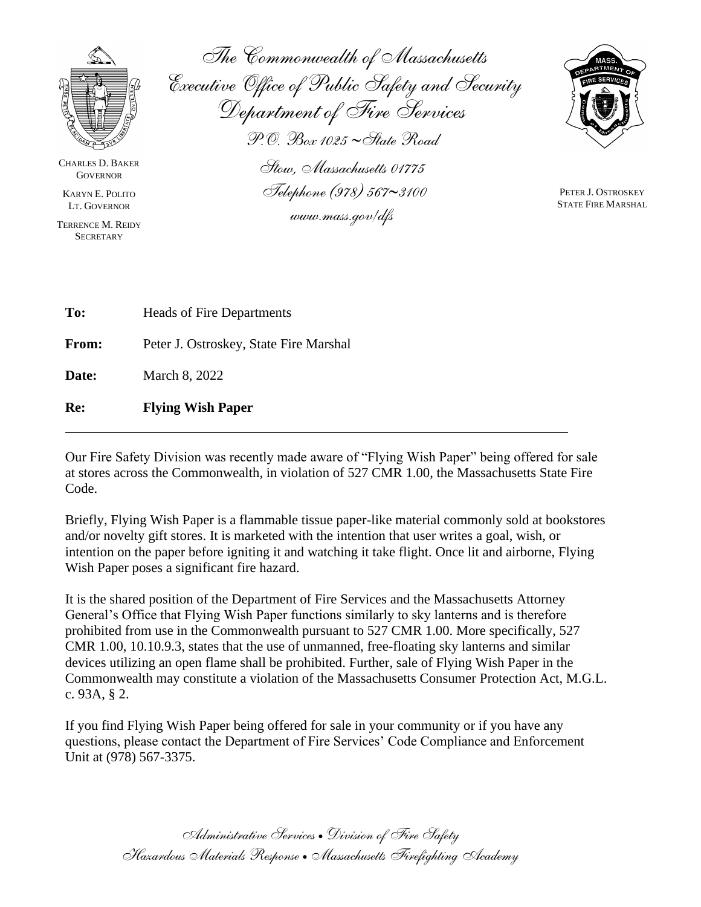

CHARLES D. BAKER **GOVERNOR** 

KARYN E. POLITO LT. GOVERNOR

TERRENCE M. REIDY **SECRETARY** 

*The Commonwealth of Massachusetts Executive Office of Public Safety and Security Department of Fire Services P.O. Box 1025 State Road Stow, Massachusetts 01775*

*Telephone (978) 5673100* 

*www.mass.gov/dfs*



PETER J. OSTROSKEY STATE FIRE MARSHAL

| Re:   | <b>Flying Wish Paper</b>               |
|-------|----------------------------------------|
| Date: | March 8, 2022                          |
| From: | Peter J. Ostroskey, State Fire Marshal |
| To:   | Heads of Fire Departments              |

Our Fire Safety Division was recently made aware of "Flying Wish Paper" being offered for sale at stores across the Commonwealth, in violation of 527 CMR 1.00, the Massachusetts State Fire Code.

Briefly, Flying Wish Paper is a flammable tissue paper-like material commonly sold at bookstores and/or novelty gift stores. It is marketed with the intention that user writes a goal, wish, or intention on the paper before igniting it and watching it take flight. Once lit and airborne, Flying Wish Paper poses a significant fire hazard.

It is the shared position of the Department of Fire Services and the Massachusetts Attorney General's Office that Flying Wish Paper functions similarly to sky lanterns and is therefore prohibited from use in the Commonwealth pursuant to 527 CMR 1.00. More specifically, 527 CMR 1.00, 10.10.9.3, states that the use of unmanned, free-floating sky lanterns and similar devices utilizing an open flame shall be prohibited. Further, sale of Flying Wish Paper in the Commonwealth may constitute a violation of the Massachusetts Consumer Protection Act, M.G.L. c. 93A, § 2.

If you find Flying Wish Paper being offered for sale in your community or if you have any questions, please contact the Department of Fire Services' Code Compliance and Enforcement Unit at (978) 567-3375.

> *Administrative Services* • *Division of Fire Safety Hazardous Materials Response* •*Massachusetts Firefighting Academy*